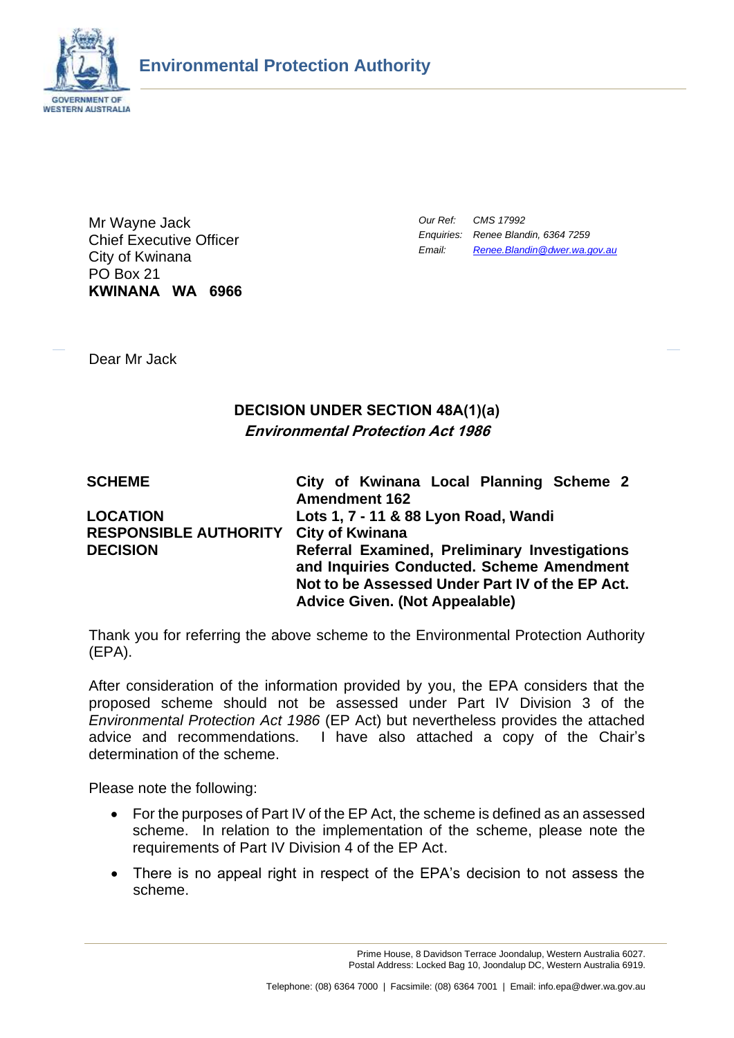

Mr Wayne Jack Chief Executive Officer City of Kwinana PO Box 21 **KWINANA WA 6966** *Our Ref: CMS 17992 Enquiries: Renee Blandin, 6364 7259 Email: [Renee.Blandin@dwer.wa.gov.au](mailto:Steve.Pavey@dwer.wa.gov.au)*

Dear Mr Jack

# **DECISION UNDER SECTION 48A(1)(a) Environmental Protection Act 1986**

| <b>SCHEME</b>                                            | City of Kwinana Local Planning Scheme 2<br><b>Amendment 162</b>                                                                                                                        |
|----------------------------------------------------------|----------------------------------------------------------------------------------------------------------------------------------------------------------------------------------------|
| <b>LOCATION</b><br>RESPONSIBLE AUTHORITY City of Kwinana | Lots 1, 7 - 11 & 88 Lyon Road, Wandi                                                                                                                                                   |
| <b>DECISION</b>                                          | Referral Examined, Preliminary Investigations<br>and Inquiries Conducted. Scheme Amendment<br>Not to be Assessed Under Part IV of the EP Act.<br><b>Advice Given. (Not Appealable)</b> |

Thank you for referring the above scheme to the Environmental Protection Authority (EPA).

After consideration of the information provided by you, the EPA considers that the proposed scheme should not be assessed under Part IV Division 3 of the *Environmental Protection Act 1986* (EP Act) but nevertheless provides the attached advice and recommendations. I have also attached a copy of the Chair's determination of the scheme.

Please note the following:

- For the purposes of Part IV of the EP Act, the scheme is defined as an assessed scheme. In relation to the implementation of the scheme, please note the requirements of Part IV Division 4 of the EP Act.
- There is no appeal right in respect of the EPA's decision to not assess the scheme.

Prime House, 8 Davidson Terrace Joondalup, Western Australia 6027. Postal Address: Locked Bag 10, Joondalup DC, Western Australia 6919.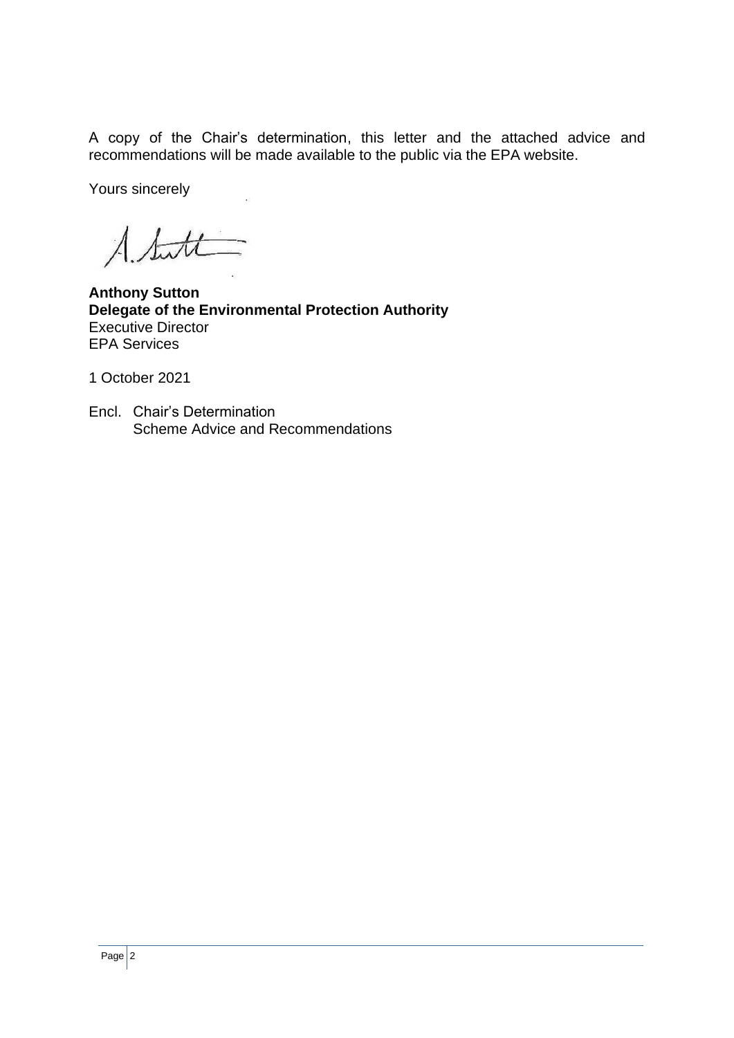A copy of the Chair's determination, this letter and the attached advice and recommendations will be made available to the public via the EPA website.

Yours sincerely

 $\Lambda$  statt

**Anthony Sutton Delegate of the Environmental Protection Authority** Executive Director EPA Services

1 October 2021

Encl. Chair's Determination Scheme Advice and Recommendations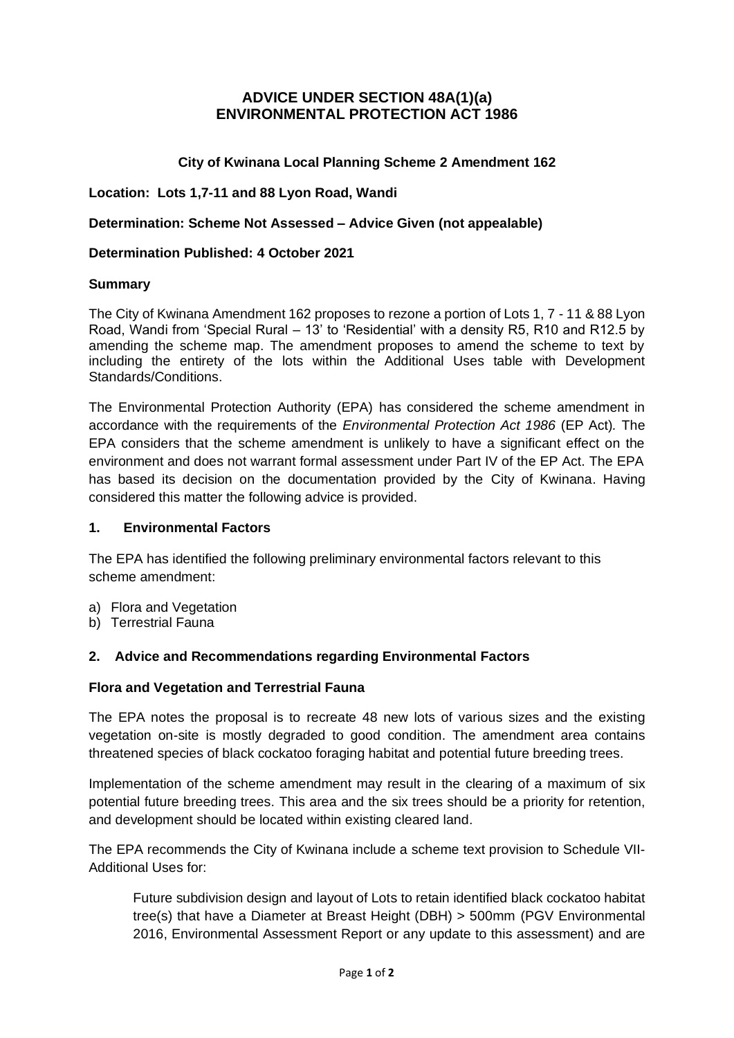# **ADVICE UNDER SECTION 48A(1)(a) ENVIRONMENTAL PROTECTION ACT 1986**

### **City of Kwinana Local Planning Scheme 2 Amendment 162**

**Location: Lots 1,7-11 and 88 Lyon Road, Wandi**

**Determination: Scheme Not Assessed – Advice Given (not appealable)**

#### **Determination Published: 4 October 2021**

#### **Summary**

The City of Kwinana Amendment 162 proposes to rezone a portion of Lots 1, 7 - 11 & 88 Lyon Road, Wandi from 'Special Rural – 13' to 'Residential' with a density R5, R10 and R12.5 by amending the scheme map. The amendment proposes to amend the scheme to text by including the entirety of the lots within the Additional Uses table with Development Standards/Conditions.

The Environmental Protection Authority (EPA) has considered the scheme amendment in accordance with the requirements of the *Environmental Protection Act 1986* (EP Act)*.* The EPA considers that the scheme amendment is unlikely to have a significant effect on the environment and does not warrant formal assessment under Part IV of the EP Act. The EPA has based its decision on the documentation provided by the City of Kwinana. Having considered this matter the following advice is provided.

### **1. Environmental Factors**

The EPA has identified the following preliminary environmental factors relevant to this scheme amendment:

- a) Flora and Vegetation
- b) Terrestrial Fauna

### **2. Advice and Recommendations regarding Environmental Factors**

#### **Flora and Vegetation and Terrestrial Fauna**

The EPA notes the proposal is to recreate 48 new lots of various sizes and the existing vegetation on-site is mostly degraded to good condition. The amendment area contains threatened species of black cockatoo foraging habitat and potential future breeding trees.

Implementation of the scheme amendment may result in the clearing of a maximum of six potential future breeding trees. This area and the six trees should be a priority for retention, and development should be located within existing cleared land.

The EPA recommends the City of Kwinana include a scheme text provision to Schedule VII-Additional Uses for:

Future subdivision design and layout of Lots to retain identified black cockatoo habitat tree(s) that have a Diameter at Breast Height (DBH) > 500mm (PGV Environmental 2016, Environmental Assessment Report or any update to this assessment) and are